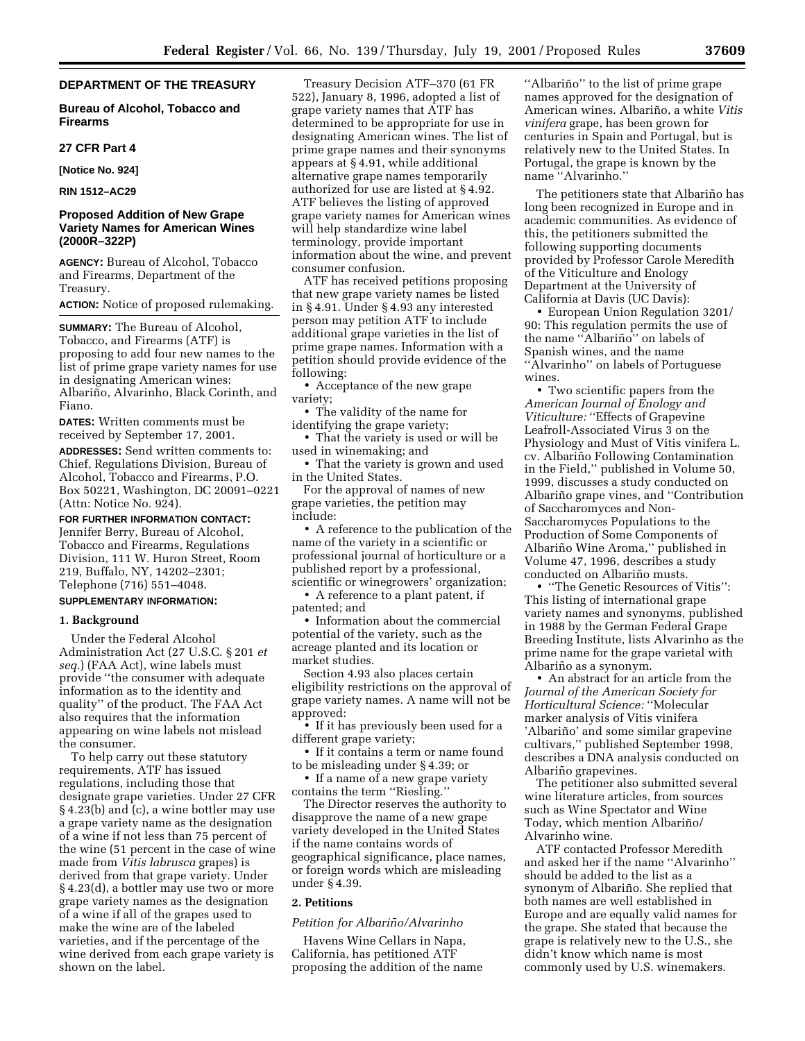# **DEPARTMENT OF THE TREASURY**

**Bureau of Alcohol, Tobacco and Firearms**

#### **27 CFR Part 4**

**[Notice No. 924]**

**RIN 1512–AC29**

# **Proposed Addition of New Grape Variety Names for American Wines (2000R–322P)**

**AGENCY:** Bureau of Alcohol, Tobacco and Firearms, Department of the Treasury.

**ACTION:** Notice of proposed rulemaking.

**SUMMARY:** The Bureau of Alcohol, Tobacco, and Firearms (ATF) is proposing to add four new names to the list of prime grape variety names for use in designating American wines: Albariño, Alvarinho, Black Corinth, and Fiano.

**DATES:** Written comments must be received by September 17, 2001.

**ADDRESSES:** Send written comments to: Chief, Regulations Division, Bureau of Alcohol, Tobacco and Firearms, P.O. Box 50221, Washington, DC 20091–0221 (Attn: Notice No. 924).

**FOR FURTHER INFORMATION CONTACT:** Jennifer Berry, Bureau of Alcohol, Tobacco and Firearms, Regulations Division, 111 W. Huron Street, Room 219, Buffalo, NY, 14202–2301; Telephone (716) 551–4048.

### **SUPPLEMENTARY INFORMATION:**

### **1. Background**

Under the Federal Alcohol Administration Act (27 U.S.C. § 201 *et seq.*) (FAA Act), wine labels must provide ''the consumer with adequate information as to the identity and quality'' of the product. The FAA Act also requires that the information appearing on wine labels not mislead the consumer.

To help carry out these statutory requirements, ATF has issued regulations, including those that designate grape varieties. Under 27 CFR § 4.23(b) and (c), a wine bottler may use a grape variety name as the designation of a wine if not less than 75 percent of the wine (51 percent in the case of wine made from *Vitis labrusca* grapes) is derived from that grape variety. Under § 4.23(d), a bottler may use two or more grape variety names as the designation of a wine if all of the grapes used to make the wine are of the labeled varieties, and if the percentage of the wine derived from each grape variety is shown on the label.

Treasury Decision ATF–370 (61 FR 522), January 8, 1996, adopted a list of grape variety names that ATF has determined to be appropriate for use in designating American wines. The list of prime grape names and their synonyms appears at § 4.91, while additional alternative grape names temporarily authorized for use are listed at § 4.92. ATF believes the listing of approved grape variety names for American wines will help standardize wine label terminology, provide important information about the wine, and prevent consumer confusion.

ATF has received petitions proposing that new grape variety names be listed in § 4.91. Under § 4.93 any interested person may petition ATF to include additional grape varieties in the list of prime grape names. Information with a petition should provide evidence of the following:

• Acceptance of the new grape variety;

• The validity of the name for identifying the grape variety;

• That the variety is used or will be used in winemaking; and

• That the variety is grown and used in the United States.

For the approval of names of new grape varieties, the petition may include:

• A reference to the publication of the name of the variety in a scientific or professional journal of horticulture or a published report by a professional, scientific or winegrowers' organization;

• A reference to a plant patent, if patented; and

• Information about the commercial potential of the variety, such as the acreage planted and its location or market studies.

Section 4.93 also places certain eligibility restrictions on the approval of grape variety names. A name will not be approved:

• If it has previously been used for a different grape variety;

• If it contains a term or name found to be misleading under § 4.39; or

• If a name of a new grape variety contains the term ''Riesling.''

The Director reserves the authority to disapprove the name of a new grape variety developed in the United States if the name contains words of geographical significance, place names, or foreign words which are misleading under § 4.39.

## **2. Petitions**

## *Petition for Albarin˜ o/Alvarinho*

Havens Wine Cellars in Napa, California, has petitioned ATF proposing the addition of the name

"Albariño" to the list of prime grape names approved for the designation of American wines. Albariño, a white Vitis *vinifera* grape, has been grown for centuries in Spain and Portugal, but is relatively new to the United States. In Portugal, the grape is known by the name ''Alvarinho.''

The petitioners state that Albariño has long been recognized in Europe and in academic communities. As evidence of this, the petitioners submitted the following supporting documents provided by Professor Carole Meredith of the Viticulture and Enology Department at the University of California at Davis (UC Davis):

• European Union Regulation 3201/ 90: This regulation permits the use of the name "Albariño" on labels of Spanish wines, and the name ''Alvarinho'' on labels of Portuguese wines.

• Two scientific papers from the *American Journal of Enology and Viticulture:* ''Effects of Grapevine Leafroll-Associated Virus 3 on the Physiology and Must of Vitis vinifera L. cv. Albariño Following Contamination in the Field,'' published in Volume 50, 1999, discusses a study conducted on Albariño grape vines, and "Contribution" of Saccharomyces and Non-Saccharomyces Populations to the Production of Some Components of Albariño Wine Aroma," published in Volume 47, 1996, describes a study conducted on Albariño musts.

• ''The Genetic Resources of Vitis'': This listing of international grape variety names and synonyms, published in 1988 by the German Federal Grape Breeding Institute, lists Alvarinho as the prime name for the grape varietal with Albariño as a synonym.

• An abstract for an article from the *Journal of the American Society for Horticultural Science:* ''Molecular marker analysis of Vitis vinifera 'Albariño' and some similar grapevine cultivars,'' published September 1998, describes a DNA analysis conducted on Albariño grapevines.

The petitioner also submitted several wine literature articles, from sources such as Wine Spectator and Wine Today, which mention Albariño/ Alvarinho wine.

ATF contacted Professor Meredith and asked her if the name ''Alvarinho'' should be added to the list as a synonym of Albariño. She replied that both names are well established in Europe and are equally valid names for the grape. She stated that because the grape is relatively new to the U.S., she didn't know which name is most commonly used by U.S. winemakers.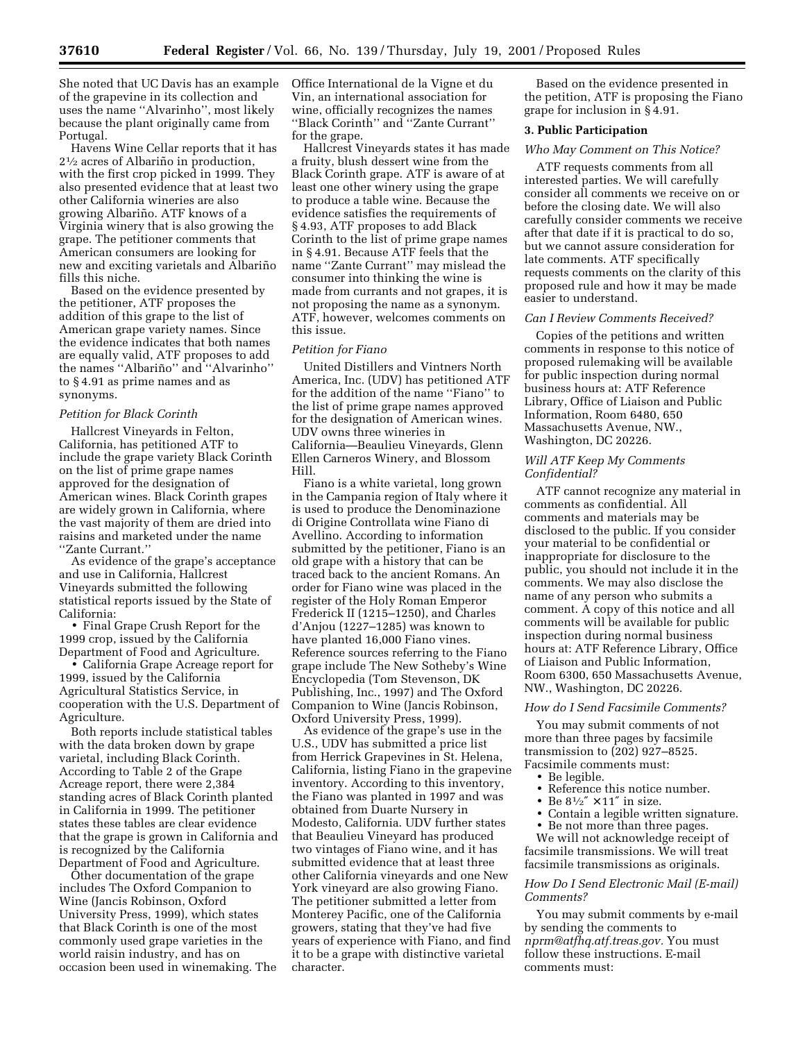She noted that UC Davis has an example of the grapevine in its collection and uses the name ''Alvarinho'', most likely because the plant originally came from Portugal.

Havens Wine Cellar reports that it has  $2\frac{1}{2}$  acres of Albariño in production, with the first crop picked in 1999. They also presented evidence that at least two other California wineries are also growing Albariño. ATF knows of a Virginia winery that is also growing the grape. The petitioner comments that American consumers are looking for new and exciting varietals and Albariño fills this niche.

Based on the evidence presented by the petitioner, ATF proposes the addition of this grape to the list of American grape variety names. Since the evidence indicates that both names are equally valid, ATF proposes to add the names "Albariño" and "Alvarinho" to § 4.91 as prime names and as synonyms.

# *Petition for Black Corinth*

Hallcrest Vineyards in Felton, California, has petitioned ATF to include the grape variety Black Corinth on the list of prime grape names approved for the designation of American wines. Black Corinth grapes are widely grown in California, where the vast majority of them are dried into raisins and marketed under the name ''Zante Currant.''

As evidence of the grape's acceptance and use in California, Hallcrest Vineyards submitted the following statistical reports issued by the State of California:

• Final Grape Crush Report for the 1999 crop, issued by the California Department of Food and Agriculture.

• California Grape Acreage report for 1999, issued by the California Agricultural Statistics Service, in cooperation with the U.S. Department of Agriculture.

Both reports include statistical tables with the data broken down by grape varietal, including Black Corinth. According to Table 2 of the Grape Acreage report, there were 2,384 standing acres of Black Corinth planted in California in 1999. The petitioner states these tables are clear evidence that the grape is grown in California and is recognized by the California Department of Food and Agriculture.

Other documentation of the grape includes The Oxford Companion to Wine (Jancis Robinson, Oxford University Press, 1999), which states that Black Corinth is one of the most commonly used grape varieties in the world raisin industry, and has on occasion been used in winemaking. The Office International de la Vigne et du Vin, an international association for wine, officially recognizes the names ''Black Corinth'' and ''Zante Currant'' for the grape.

Hallcrest Vineyards states it has made a fruity, blush dessert wine from the Black Corinth grape. ATF is aware of at least one other winery using the grape to produce a table wine. Because the evidence satisfies the requirements of § 4.93, ATF proposes to add Black Corinth to the list of prime grape names in § 4.91. Because ATF feels that the name ''Zante Currant'' may mislead the consumer into thinking the wine is made from currants and not grapes, it is not proposing the name as a synonym. ATF, however, welcomes comments on this issue.

### *Petition for Fiano*

United Distillers and Vintners North America, Inc. (UDV) has petitioned ATF for the addition of the name ''Fiano'' to the list of prime grape names approved for the designation of American wines. UDV owns three wineries in California—Beaulieu Vineyards, Glenn Ellen Carneros Winery, and Blossom Hill.

Fiano is a white varietal, long grown in the Campania region of Italy where it is used to produce the Denominazione di Origine Controllata wine Fiano di Avellino. According to information submitted by the petitioner, Fiano is an old grape with a history that can be traced back to the ancient Romans. An order for Fiano wine was placed in the register of the Holy Roman Emperor Frederick II (1215–1250), and Charles d'Anjou (1227–1285) was known to have planted 16,000 Fiano vines. Reference sources referring to the Fiano grape include The New Sotheby's Wine Encyclopedia (Tom Stevenson, DK Publishing, Inc., 1997) and The Oxford Companion to Wine (Jancis Robinson, Oxford University Press, 1999).

As evidence of the grape's use in the U.S., UDV has submitted a price list from Herrick Grapevines in St. Helena, California, listing Fiano in the grapevine inventory. According to this inventory, the Fiano was planted in 1997 and was obtained from Duarte Nursery in Modesto, California. UDV further states that Beaulieu Vineyard has produced two vintages of Fiano wine, and it has submitted evidence that at least three other California vineyards and one New York vineyard are also growing Fiano. The petitioner submitted a letter from Monterey Pacific, one of the California growers, stating that they've had five years of experience with Fiano, and find it to be a grape with distinctive varietal character.

Based on the evidence presented in the petition, ATF is proposing the Fiano grape for inclusion in § 4.91.

## **3. Public Participation**

# *Who May Comment on This Notice?*

ATF requests comments from all interested parties. We will carefully consider all comments we receive on or before the closing date. We will also carefully consider comments we receive after that date if it is practical to do so, but we cannot assure consideration for late comments. ATF specifically requests comments on the clarity of this proposed rule and how it may be made easier to understand.

#### *Can I Review Comments Received?*

Copies of the petitions and written comments in response to this notice of proposed rulemaking will be available for public inspection during normal business hours at: ATF Reference Library, Office of Liaison and Public Information, Room 6480, 650 Massachusetts Avenue, NW., Washington, DC 20226.

## *Will ATF Keep My Comments Confidential?*

ATF cannot recognize any material in comments as confidential. All comments and materials may be disclosed to the public. If you consider your material to be confidential or inappropriate for disclosure to the public, you should not include it in the comments. We may also disclose the name of any person who submits a comment. A copy of this notice and all comments will be available for public inspection during normal business hours at: ATF Reference Library, Office of Liaison and Public Information, Room 6300, 650 Massachusetts Avenue, NW., Washington, DC 20226.

#### *How do I Send Facsimile Comments?*

You may submit comments of not more than three pages by facsimile transmission to (202) 927–8525. Facsimile comments must:

- Be legible.
- Reference this notice number.<br>• Be  $8\frac{1}{2}$   $\times$  11" in size.
- 
- Be  $8^{1/2}$   $\times$  11" in size.<br>• Contain a legible write • Contain a legible written signature.
- Be not more than three pages.

We will not acknowledge receipt of facsimile transmissions. We will treat facsimile transmissions as originals.

### *How Do I Send Electronic Mail (E-mail) Comments?*

You may submit comments by e-mail by sending the comments to *nprm@atfhq.atf.treas.gov.* You must follow these instructions. E-mail comments must: